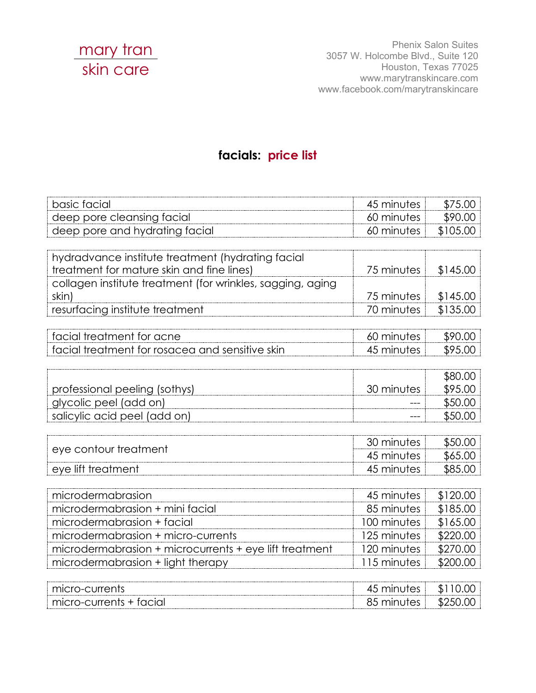

Phenix Salon Suites 3057 W. Holcombe Blvd., Suite 120 Houston, Texas 77025 www.marytranskincare.com www.facebook.com/marytranskincare

## **facials: price list**

| basic facial                                               | 45 minutes  | \$75.00  |
|------------------------------------------------------------|-------------|----------|
| deep pore cleansing facial                                 | 60 minutes  | \$90.00  |
| deep pore and hydrating facial                             | 60 minutes  | \$105.00 |
|                                                            |             |          |
| hydradvance institute treatment (hydrating facial          |             |          |
| treatment for mature skin and fine lines)                  | 75 minutes  | \$145.00 |
| collagen institute treatment (for wrinkles, sagging, aging |             |          |
| skin)                                                      | 75 minutes  | \$145.00 |
| resurfacing institute treatment                            | 70 minutes  | \$135.00 |
|                                                            |             |          |
| facial treatment for acne                                  | 60 minutes  | \$90.00  |
| facial treatment for rosacea and sensitive skin            | 45 minutes  | \$95.00  |
|                                                            |             |          |
|                                                            |             | \$80.00  |
| professional peeling (sothys)                              | 30 minutes  | \$95.00  |
| glycolic peel (add on)                                     |             | \$50.00  |
| salicylic acid peel (add on)                               |             | \$50.00  |
|                                                            |             |          |
| eye contour treatment                                      | 30 minutes  | \$50.00  |
|                                                            | 45 minutes  | \$65.00  |
| eye lift treatment                                         | 45 minutes  | \$85.00  |
|                                                            |             |          |
| microdermabrasion                                          | 45 minutes  | \$120.00 |
| microdermabrasion + mini facial                            | 85 minutes  | \$185.00 |
| microdermabrasion + facial                                 | 100 minutes | \$165.00 |
| microdermabrasion + micro-currents                         | 125 minutes | \$220.00 |
| microdermabrasion + microcurrents + eye lift treatment     | 120 minutes | \$270.00 |
| microdermabrasion + light therapy                          | 115 minutes | \$200.00 |
|                                                            |             |          |
| micro-currents                                             | 45 minutes  | \$110.00 |

micro-currents + facial and and an analysis of the state of the state of the state of the state of the state of the state of the state of the state of the state of the state of the state of the state of the state of the st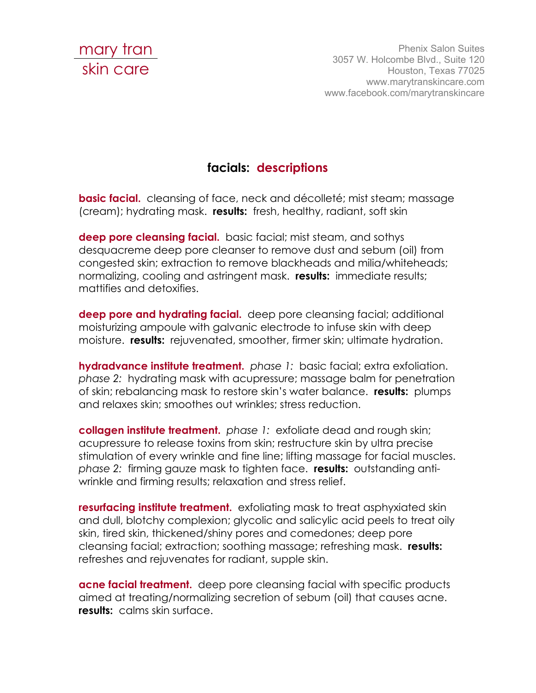

Phenix Salon Suites 3057 W. Holcombe Blvd., Suite 120 Houston, Texas 77025 www.marytranskincare.com www.facebook.com/marytranskincare

## **facials: descriptions**

**basic facial.** cleansing of face, neck and décolleté; mist steam; massage (cream); hydrating mask. **results:** fresh, healthy, radiant, soft skin

**deep pore cleansing facial.** basic facial; mist steam, and sothys desquacreme deep pore cleanser to remove dust and sebum (oil) from congested skin; extraction to remove blackheads and milia/whiteheads; normalizing, cooling and astringent mask. **results:** immediate results; mattifies and detoxifies.

**deep pore and hydrating facial.** deep pore cleansing facial; additional moisturizing ampoule with galvanic electrode to infuse skin with deep moisture. **results:** rejuvenated, smoother, firmer skin; ultimate hydration.

**hydradvance institute treatment.** *phase 1:* basic facial; extra exfoliation. *phase 2:* hydrating mask with acupressure; massage balm for penetration of skin; rebalancing mask to restore skin's water balance. **results:** plumps and relaxes skin; smoothes out wrinkles; stress reduction.

**collagen institute treatment.** phase 1: exfoliate dead and rough skin; acupressure to release toxins from skin; restructure skin by ultra precise stimulation of every wrinkle and fine line; lifting massage for facial muscles. *phase 2:* firming gauze mask to tighten face. **results:** outstanding antiwrinkle and firming results; relaxation and stress relief.

**resurfacing institute treatment.** exfoliating mask to treat asphyxiated skin and dull, blotchy complexion; glycolic and salicylic acid peels to treat oily skin, tired skin, thickened/shiny pores and comedones; deep pore cleansing facial; extraction; soothing massage; refreshing mask. **results:** refreshes and rejuvenates for radiant, supple skin.

**acne facial treatment.** deep pore cleansing facial with specific products aimed at treating/normalizing secretion of sebum (oil) that causes acne. **results:** calms skin surface.